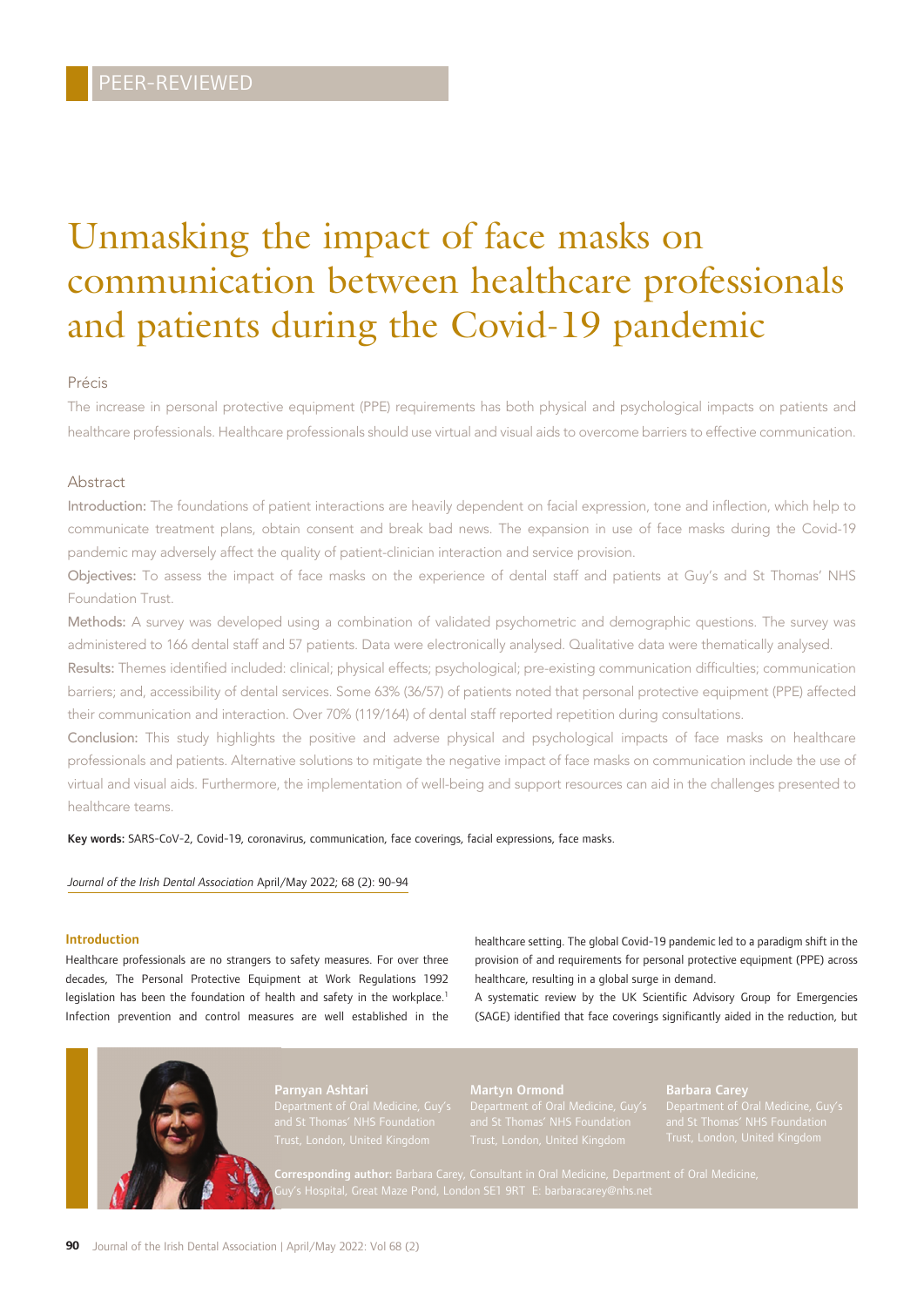# Unmasking the impact of face masks on communication between healthcare professionals and patients during the Covid-19 pandemic

### Précis

The increase in personal protective equipment (PPE) requirements has both physical and psychological impacts on patients and healthcare professionals. Healthcare professionals should use virtual and visual aids to overcome barriers to effective communication.

#### Abstract

Introduction: The foundations of patient interactions are heavily dependent on facial expression, tone and inflection, which help to communicate treatment plans, obtain consent and break bad news. The expansion in use of face masks during the Covid-19 pandemic may adversely affect the quality of patient-clinician interaction and service provision.

Objectives: To assess the impact of face masks on the experience of dental staff and patients at Guy's and St Thomas' NHS Foundation Trust.

Methods: A survey was developed using a combination of validated psychometric and demographic questions. The survey was administered to 166 dental staff and 57 patients. Data were electronically analysed. Qualitative data were thematically analysed.

Results: Themes identified included: clinical; physical effects; psychological; pre-existing communication difficulties; communication barriers; and, accessibility of dental services. Some 63% (36/57) of patients noted that personal protective equipment (PPE) affected their communication and interaction. Over 70% (119/164) of dental staff reported repetition during consultations.

Conclusion: This study highlights the positive and adverse physical and psychological impacts of face masks on healthcare professionals and patients. Alternative solutions to mitigate the negative impact of face masks on communication include the use of virtual and visual aids. Furthermore, the implementation of well-being and support resources can aid in the challenges presented to healthcare teams.

Key words: SARS-CoV-2, Covid-19, coronavirus, communication, face coverings, facial expressions, face masks.

*Journal of the Irish Dental Association* April/May 2022; 68 (2): 90-94

#### Introduction

Healthcare professionals are no strangers to safety measures. For over three decades, The Personal Protective Equipment at Work Regulations 1992 legislation has been the foundation of health and safety in the workplace.<sup>1</sup> Infection prevention and control measures are well established in the healthcare setting. The global Covid-19 pandemic led to a paradigm shift in the provision of and requirements for personal protective equipment (PPE) across healthcare, resulting in a global surge in demand.

A systematic review by the UK Scientific Advisory Group for Emergencies (SAGE) identified that face coverings significantly aided in the reduction, but



Martyn Ormond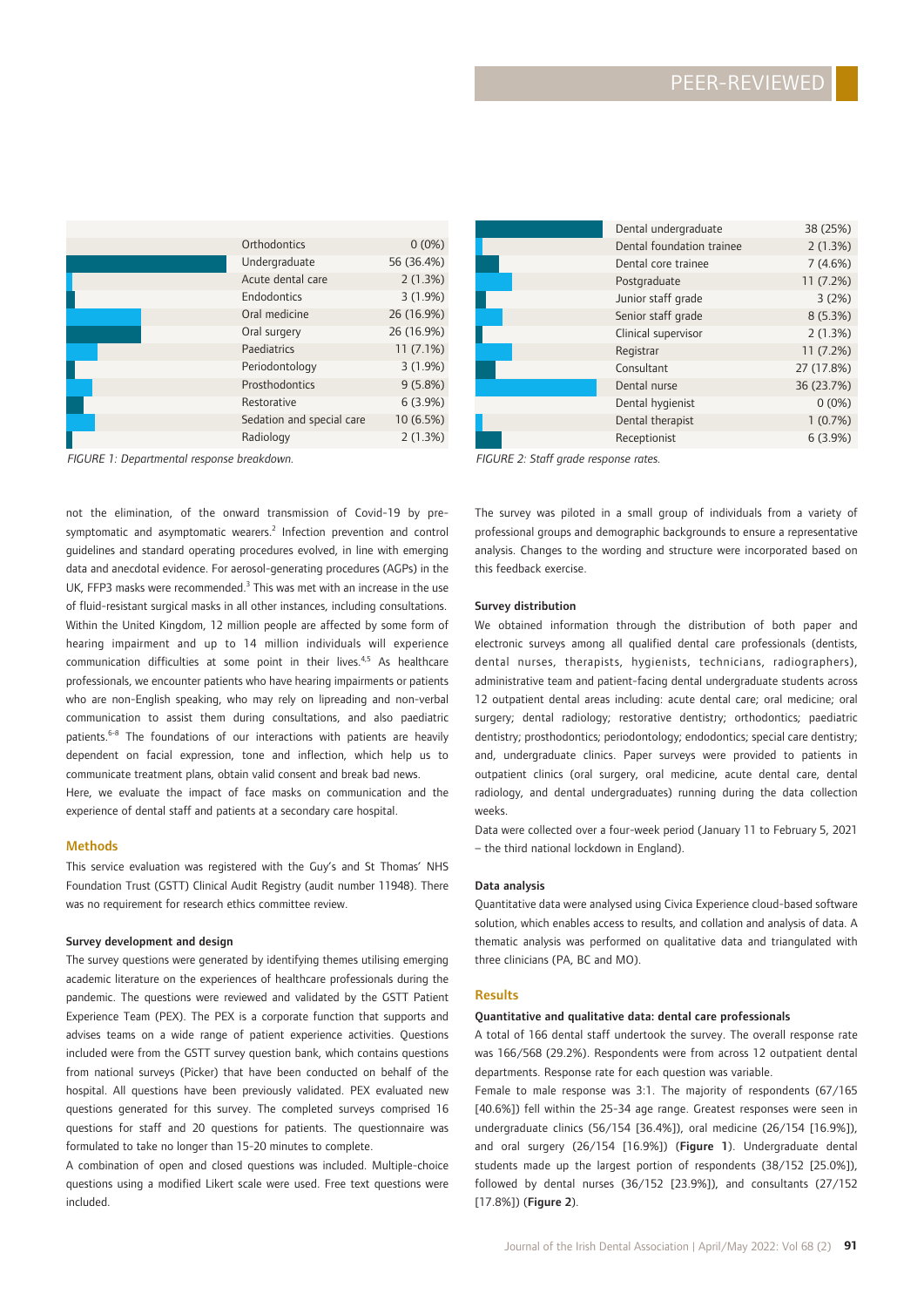| Orthodontics              | $0(0\%)$   |
|---------------------------|------------|
| Undergraduate             | 56 (36.4%) |
| Acute dental care         | 2(1.3%)    |
| Endodontics               | 3(1.9%)    |
| Oral medicine             | 26 (16.9%) |
| Oral surgery              | 26 (16.9%) |
| Paediatrics               | 11(7.1%)   |
| Periodontology            | 3(1.9%)    |
| Prosthodontics            | 9(5.8%)    |
| Restorative               | 6(3.9%)    |
| Sedation and special care | 10 (6.5%)  |
| Radiology                 | 2(1.3%)    |

*FIGURE 1: Departmental response breakdown. FIGURE 2: Staff grade response rates.*

not the elimination, of the onward transmission of Covid-19 by presymptomatic and asymptomatic wearers.<sup>2</sup> Infection prevention and control guidelines and standard operating procedures evolved, in line with emerging data and anecdotal evidence. For aerosol-generating procedures (AGPs) in the UK, FFP3 masks were recommended.<sup>3</sup> This was met with an increase in the use of fluid-resistant surgical masks in all other instances, including consultations. Within the United Kingdom, 12 million people are affected by some form of hearing impairment and up to 14 million individuals will experience communication difficulties at some point in their lives.<sup>4,5</sup> As healthcare professionals, we encounter patients who have hearing impairments or patients who are non-English speaking, who may rely on lipreading and non-verbal communication to assist them during consultations, and also paediatric patients.<sup>6-8</sup> The foundations of our interactions with patients are heavily dependent on facial expression, tone and inflection, which help us to communicate treatment plans, obtain valid consent and break bad news. Here, we evaluate the impact of face masks on communication and the

Methods

This service evaluation was registered with the Guy's and St Thomas' NHS Foundation Trust (GSTT) Clinical Audit Registry (audit number 11948). There was no requirement for research ethics committee review.

experience of dental staff and patients at a secondary care hospital.

#### Survey development and design

The survey questions were generated by identifying themes utilising emerging academic literature on the experiences of healthcare professionals during the pandemic. The questions were reviewed and validated by the GSTT Patient Experience Team (PEX). The PEX is a corporate function that supports and advises teams on a wide range of patient experience activities. Questions included were from the GSTT survey question bank, which contains questions from national surveys (Picker) that have been conducted on behalf of the hospital. All questions have been previously validated. PEX evaluated new questions generated for this survey. The completed surveys comprised 16 questions for staff and 20 questions for patients. The questionnaire was formulated to take no longer than 15-20 minutes to complete.

A combination of open and closed questions was included. Multiple-choice questions using a modified Likert scale were used. Free text questions were included.

| Dental undergraduate      | 38 (25%)   |
|---------------------------|------------|
| Dental foundation trainee | 2(1.3%)    |
| Dental core trainee       | 7(4.6%)    |
| Postgraduate              | 11(7.2%)   |
| Junior staff grade        | 3(2%)      |
| Senior staff grade        | 8 (5.3%)   |
| Clinical supervisor       | 2(1.3%)    |
| Registrar                 | 11(7.2%)   |
| Consultant                | 27 (17.8%) |
| Dental nurse              | 36 (23.7%) |
| Dental hygienist          | $0(0\%)$   |
| Dental therapist          | 1(0.7%)    |
| Receptionist              | 6(3.9%)    |

The survey was piloted in a small group of individuals from a variety of professional groups and demographic backgrounds to ensure a representative analysis. Changes to the wording and structure were incorporated based on this feedback exercise.

#### Survey distribution

We obtained information through the distribution of both paper and electronic surveys among all qualified dental care professionals (dentists, dental nurses, therapists, hygienists, technicians, radiographers), administrative team and patient-facing dental undergraduate students across 12 outpatient dental areas including: acute dental care; oral medicine; oral surgery; dental radiology; restorative dentistry; orthodontics; paediatric dentistry; prosthodontics; periodontology; endodontics; special care dentistry; and, undergraduate clinics. Paper surveys were provided to patients in outpatient clinics (oral surgery, oral medicine, acute dental care, dental radiology, and dental undergraduates) running during the data collection weeks.

Data were collected over a four-week period (January 11 to February 5, 2021 – the third national lockdown in England).

#### Data analysis

Quantitative data were analysed using Civica Experience cloud-based software solution, which enables access to results, and collation and analysis of data. A thematic analysis was performed on qualitative data and triangulated with three clinicians (PA, BC and MO).

#### Results

#### Quantitative and qualitative data: dental care professionals

A total of 166 dental staff undertook the survey. The overall response rate was 166/568 (29.2%). Respondents were from across 12 outpatient dental departments. Response rate for each question was variable.

Female to male response was 3:1. The majority of respondents (67/165 [40.6%]) fell within the 25-34 age range. Greatest responses were seen in undergraduate clinics (56/154 [36.4%]), oral medicine (26/154 [16.9%]), and oral surgery (26/154 [16.9%]) (Figure 1). Undergraduate dental students made up the largest portion of respondents (38/152 [25.0%]), followed by dental nurses (36/152 [23.9%]), and consultants (27/152 [17.8%]) (Figure 2).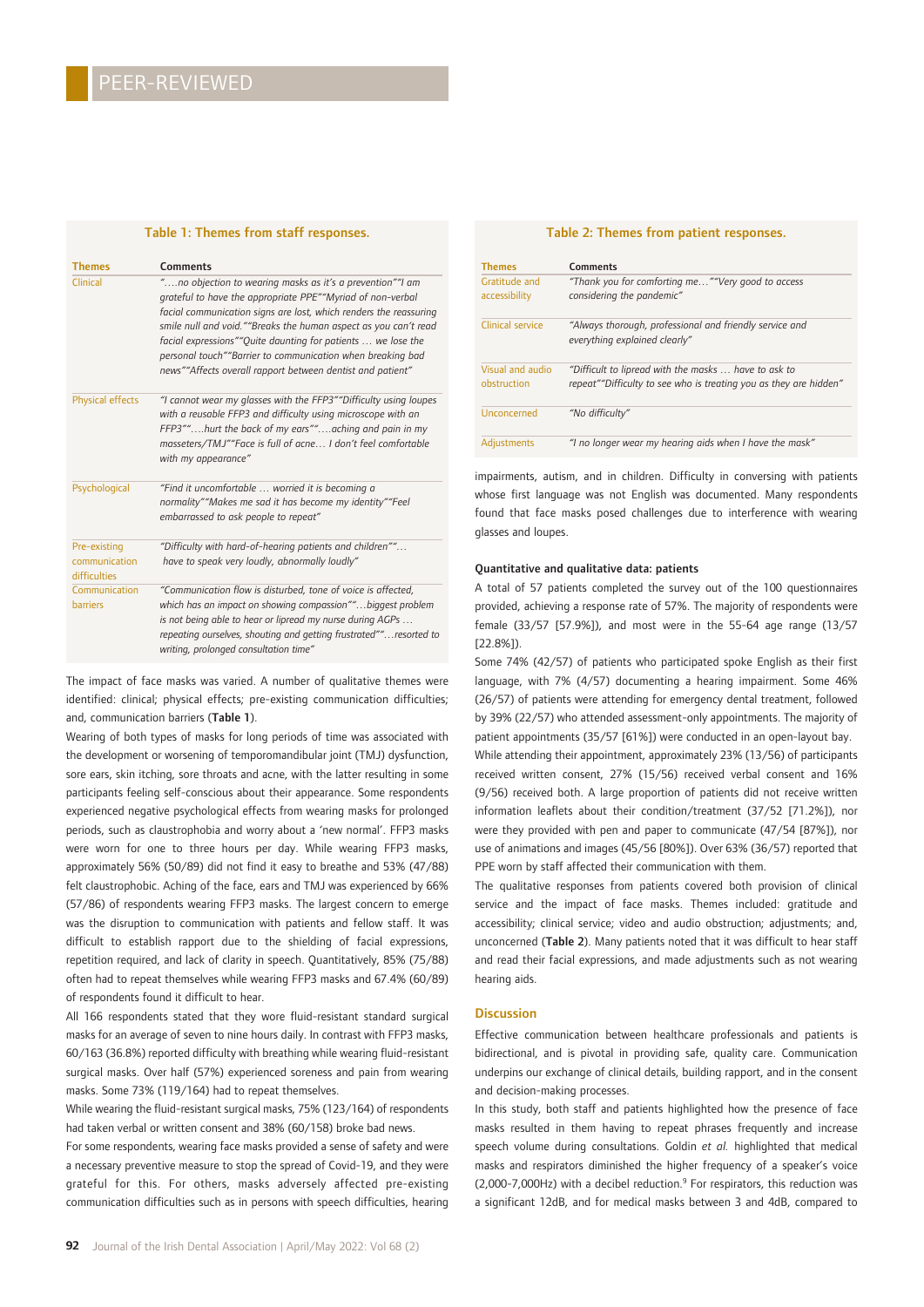| Table 1: Themes from staff responses.         |                                                                                                                                                                                                                                                                                                                                                                                                                                                            |  |
|-----------------------------------------------|------------------------------------------------------------------------------------------------------------------------------------------------------------------------------------------------------------------------------------------------------------------------------------------------------------------------------------------------------------------------------------------------------------------------------------------------------------|--|
| <b>Themes</b>                                 | Comments                                                                                                                                                                                                                                                                                                                                                                                                                                                   |  |
| Clinical                                      | "no objection to wearing masks as it's a prevention"" am<br>grateful to have the appropriate PPE""Myriad of non-verbal<br>facial communication signs are lost, which renders the reassuring<br>smile null and void.""Breaks the human aspect as you can't read<br>facial expressions""Quite daunting for patients  we lose the<br>personal touch""Barrier to communication when breaking bad<br>news""Affects overall rapport between dentist and patient" |  |
| Physical effects                              | "I cannot wear my glasses with the FFP3" "Difficulty using loupes<br>with a reusable FFP3 and difficulty using microscope with an<br>FFP3""hurt the back of my ears""aching and pain in my<br>masseters/TMJ""Face is full of acne I don't feel comfortable<br>with my appearance"                                                                                                                                                                          |  |
| Psychological                                 | "Find it uncomfortable  worried it is becoming a<br>normality""Makes me sad it has become my identity""Feel<br>embarrassed to ask people to repeat"                                                                                                                                                                                                                                                                                                        |  |
| Pre-existing<br>communication<br>difficulties | "Difficulty with hard-of-hearing patients and children""<br>have to speak very loudly, abnormally loudly"                                                                                                                                                                                                                                                                                                                                                  |  |
| Communication<br><b>barriers</b>              | "Communication flow is disturbed, tone of voice is affected,<br>which has an impact on showing compassion""biggest problem<br>is not being able to hear or lipread my nurse during AGPs<br>repeating ourselves, shouting and getting frustrated""resorted to<br>writing, prolonged consultation time"                                                                                                                                                      |  |

The impact of face masks was varied. A number of qualitative themes were identified: clinical; physical effects; pre-existing communication difficulties; and, communication barriers (Table 1).

Wearing of both types of masks for long periods of time was associated with the development or worsening of temporomandibular joint (TMJ) dysfunction, sore ears, skin itching, sore throats and acne, with the latter resulting in some participants feeling self-conscious about their appearance. Some respondents experienced negative psychological effects from wearing masks for prolonged periods, such as claustrophobia and worry about a 'new normal'. FFP3 masks were worn for one to three hours per day. While wearing FFP3 masks, approximately 56% (50/89) did not find it easy to breathe and 53% (47/88) felt claustrophobic. Aching of the face, ears and TMJ was experienced by 66% (57/86) of respondents wearing FFP3 masks. The largest concern to emerge was the disruption to communication with patients and fellow staff. It was difficult to establish rapport due to the shielding of facial expressions, repetition required, and lack of clarity in speech. Quantitatively, 85% (75/88) often had to repeat themselves while wearing FFP3 masks and 67.4% (60/89) of respondents found it difficult to hear.

All 166 respondents stated that they wore fluid-resistant standard surgical masks for an average of seven to nine hours daily. In contrast with FFP3 masks, 60/163 (36.8%) reported difficulty with breathing while wearing fluid-resistant surgical masks. Over half (57%) experienced soreness and pain from wearing masks. Some 73% (119/164) had to repeat themselves.

While wearing the fluid-resistant surgical masks, 75% (123/164) of respondents had taken verbal or written consent and 38% (60/158) broke bad news.

For some respondents, wearing face masks provided a sense of safety and were a necessary preventive measure to stop the spread of Covid-19, and they were grateful for this. For others, masks adversely affected pre-existing communication difficulties such as in persons with speech difficulties, hearing

#### Table 2: Themes from patient responses.

| <b>Themes</b>                   | <b>Comments</b>                                                                                                           |
|---------------------------------|---------------------------------------------------------------------------------------------------------------------------|
| Gratitude and<br>accessibility  | "Thank you for comforting me""Very good to access<br>considering the pandemic"                                            |
| Clinical service                | "Always thorough, professional and friendly service and<br>everything explained clearly"                                  |
| Visual and audio<br>obstruction | "Difficult to lipread with the masks  have to ask to<br>repeat""Difficulty to see who is treating you as they are hidden" |
| Unconcerned                     | "No difficulty"                                                                                                           |
| <b>Adjustments</b>              | "I no longer wear my hearing aids when I have the mask"                                                                   |

impairments, autism, and in children. Difficulty in conversing with patients whose first language was not English was documented. Many respondents found that face masks posed challenges due to interference with wearing glasses and loupes.

#### Quantitative and qualitative data: patients

A total of 57 patients completed the survey out of the 100 questionnaires provided, achieving a response rate of 57%. The majority of respondents were female (33/57 [57.9%]), and most were in the 55-64 age range (13/57 [22.8%]).

Some 74% (42/57) of patients who participated spoke English as their first language, with 7% (4/57) documenting a hearing impairment. Some 46% (26/57) of patients were attending for emergency dental treatment, followed by 39% (22/57) who attended assessment-only appointments. The majority of patient appointments (35/57 [61%]) were conducted in an open-layout bay.

While attending their appointment, approximately 23% (13/56) of participants received written consent, 27% (15/56) received verbal consent and 16% (9/56) received both. A large proportion of patients did not receive written information leaflets about their condition/treatment (37/52 [71.2%]), nor were they provided with pen and paper to communicate (47/54 [87%]), nor use of animations and images (45/56 [80%]). Over 63% (36/57) reported that PPE worn by staff affected their communication with them.

The qualitative responses from patients covered both provision of clinical service and the impact of face masks. Themes included: gratitude and accessibility; clinical service; video and audio obstruction; adjustments; and, unconcerned (Table 2). Many patients noted that it was difficult to hear staff and read their facial expressions, and made adjustments such as not wearing hearing aids.

#### **Discussion**

Effective communication between healthcare professionals and patients is bidirectional, and is pivotal in providing safe, quality care. Communication underpins our exchange of clinical details, building rapport, and in the consent and decision-making processes.

In this study, both staff and patients highlighted how the presence of face masks resulted in them having to repeat phrases frequently and increase speech volume during consultations. Goldin *et al.* highlighted that medical masks and respirators diminished the higher frequency of a speaker's voice  $(2,000-7,000$ Hz) with a decibel reduction.<sup>9</sup> For respirators, this reduction was a significant 12dB, and for medical masks between 3 and 4dB, compared to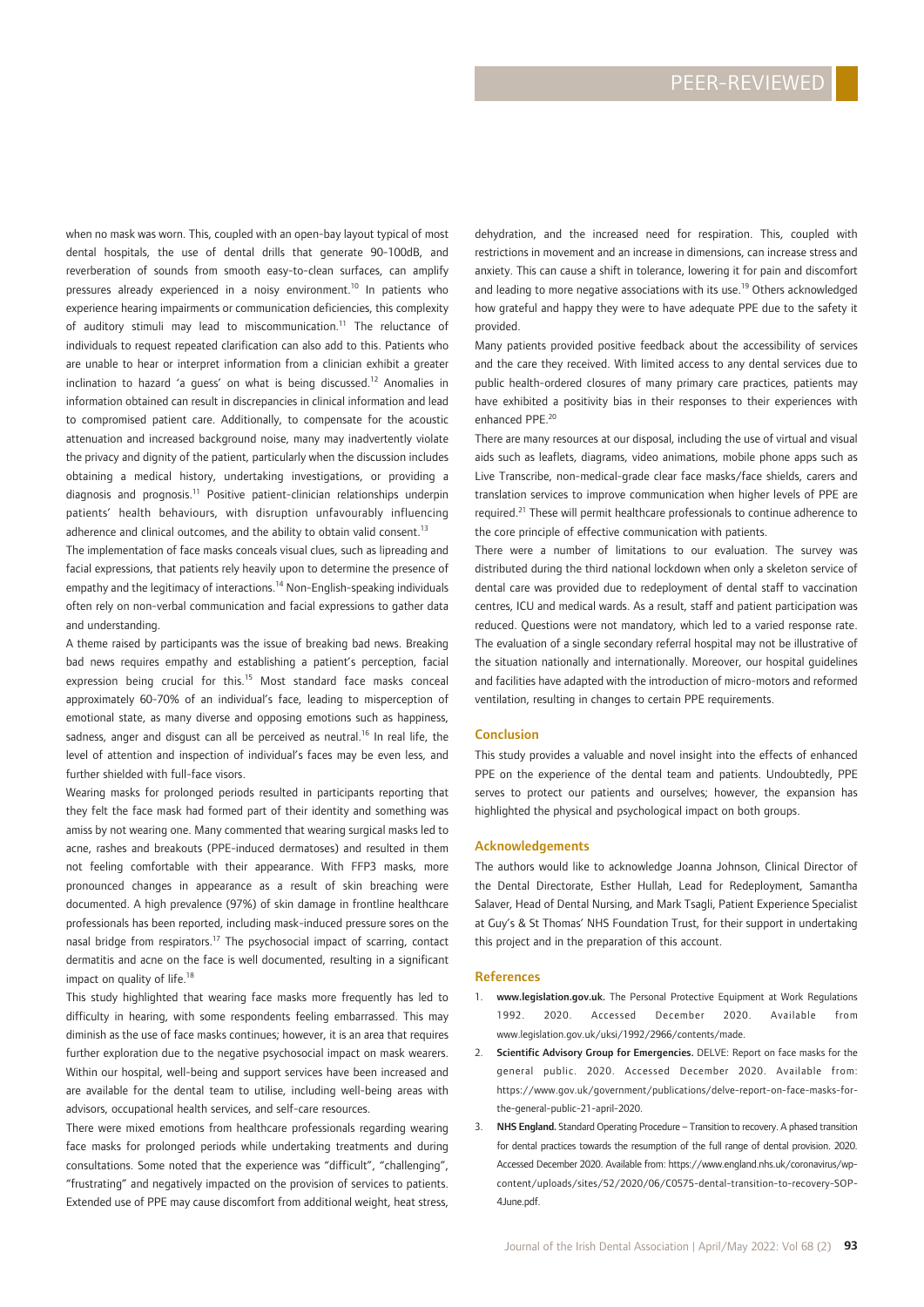when no mask was worn. This, coupled with an open-bay layout typical of most dental hospitals, the use of dental drills that generate 90-100dB, and reverberation of sounds from smooth easy-to-clean surfaces, can amplify pressures already experienced in a noisy environment.<sup>10</sup> In patients who experience hearing impairments or communication deficiencies, this complexity of auditory stimuli may lead to miscommunication.<sup>11</sup> The reluctance of individuals to request repeated clarification can also add to this. Patients who are unable to hear or interpret information from a clinician exhibit a greater inclination to hazard 'a quess' on what is being discussed.<sup>12</sup> Anomalies in information obtained can result in discrepancies in clinical information and lead to compromised patient care. Additionally, to compensate for the acoustic attenuation and increased background noise, many may inadvertently violate the privacy and dignity of the patient, particularly when the discussion includes obtaining a medical history, undertaking investigations, or providing a diagnosis and prognosis.11 Positive patient-clinician relationships underpin patients' health behaviours, with disruption unfavourably influencing adherence and clinical outcomes, and the ability to obtain valid consent.<sup>13</sup>

The implementation of face masks conceals visual clues, such as lipreading and facial expressions, that patients rely heavily upon to determine the presence of empathy and the legitimacy of interactions.<sup>14</sup> Non-English-speaking individuals often rely on non-verbal communication and facial expressions to gather data and understanding.

A theme raised by participants was the issue of breaking bad news. Breaking bad news requires empathy and establishing a patient's perception, facial expression being crucial for this.<sup>15</sup> Most standard face masks conceal approximately 60-70% of an individual's face, leading to misperception of emotional state, as many diverse and opposing emotions such as happiness, sadness, anger and disgust can all be perceived as neutral.<sup>16</sup> In real life, the level of attention and inspection of individual's faces may be even less, and further shielded with full-face visors.

Wearing masks for prolonged periods resulted in participants reporting that they felt the face mask had formed part of their identity and something was amiss by not wearing one. Many commented that wearing surgical masks led to acne, rashes and breakouts (PPE-induced dermatoses) and resulted in them not feeling comfortable with their appearance. With FFP3 masks, more pronounced changes in appearance as a result of skin breaching were documented. A high prevalence (97%) of skin damage in frontline healthcare professionals has been reported, including mask-induced pressure sores on the nasal bridge from respirators.17 The psychosocial impact of scarring, contact dermatitis and acne on the face is well documented, resulting in a significant impact on quality of life.<sup>18</sup>

This study highlighted that wearing face masks more frequently has led to difficulty in hearing, with some respondents feeling embarrassed. This may diminish as the use of face masks continues; however, it is an area that requires further exploration due to the negative psychosocial impact on mask wearers. Within our hospital, well-being and support services have been increased and are available for the dental team to utilise, including well-being areas with advisors, occupational health services, and self-care resources.

There were mixed emotions from healthcare professionals regarding wearing face masks for prolonged periods while undertaking treatments and during consultations. Some noted that the experience was "difficult", "challenging", "frustrating" and negatively impacted on the provision of services to patients. Extended use of PPE may cause discomfort from additional weight, heat stress,

dehydration, and the increased need for respiration. This, coupled with restrictions in movement and an increase in dimensions, can increase stress and anxiety. This can cause a shift in tolerance, lowering it for pain and discomfort and leading to more negative associations with its use.<sup>19</sup> Others acknowledged how grateful and happy they were to have adequate PPE due to the safety it provided.

Many patients provided positive feedback about the accessibility of services and the care they received. With limited access to any dental services due to public health-ordered closures of many primary care practices, patients may have exhibited a positivity bias in their responses to their experiences with enhanced PPF<sup>20</sup>

There are many resources at our disposal, including the use of virtual and visual aids such as leaflets, diagrams, video animations, mobile phone apps such as Live Transcribe, non-medical-grade clear face masks/face shields, carers and translation services to improve communication when higher levels of PPE are required.21 These will permit healthcare professionals to continue adherence to the core principle of effective communication with patients.

There were a number of limitations to our evaluation. The survey was distributed during the third national lockdown when only a skeleton service of dental care was provided due to redeployment of dental staff to vaccination centres, ICU and medical wards. As a result, staff and patient participation was reduced. Questions were not mandatory, which led to a varied response rate. The evaluation of a single secondary referral hospital may not be illustrative of the situation nationally and internationally. Moreover, our hospital guidelines and facilities have adapted with the introduction of micro-motors and reformed ventilation, resulting in changes to certain PPE requirements.

#### Conclusion

This study provides a valuable and novel insight into the effects of enhanced PPE on the experience of the dental team and patients. Undoubtedly, PPE serves to protect our patients and ourselves; however, the expansion has highlighted the physical and psychological impact on both groups.

#### Acknowledgements

The authors would like to acknowledge Joanna Johnson, Clinical Director of the Dental Directorate, Esther Hullah, Lead for Redeployment, Samantha Salaver, Head of Dental Nursing, and Mark Tsagli, Patient Experience Specialist at Guy's & St Thomas' NHS Foundation Trust, for their support in undertaking this project and in the preparation of this account.

#### References

- 1. www.legislation.gov.uk. The Personal Protective Equipment at Work Regulations 1992. 2020. Accessed December 2020. Available from www.legislation.gov.uk/uksi/1992/2966/contents/made.
- 2. Scientific Advisory Group for Emergencies. DELVE: Report on face masks for the general public. 2020. Accessed December 2020. Available from: https://www.gov.uk/government/publications/delve-report-on-face-masks-forthe-general-public-21-april-2020.
- 3. NHS England. Standard Operating Procedure Transition to recovery. A phased transition for dental practices towards the resumption of the full range of dental provision. 2020. Accessed December 2020. Available from: https://www.england.nhs.uk/coronavirus/wpcontent/uploads/sites/52/2020/06/C0575-dental-transition-to-recovery-SOP-4June.pdf.